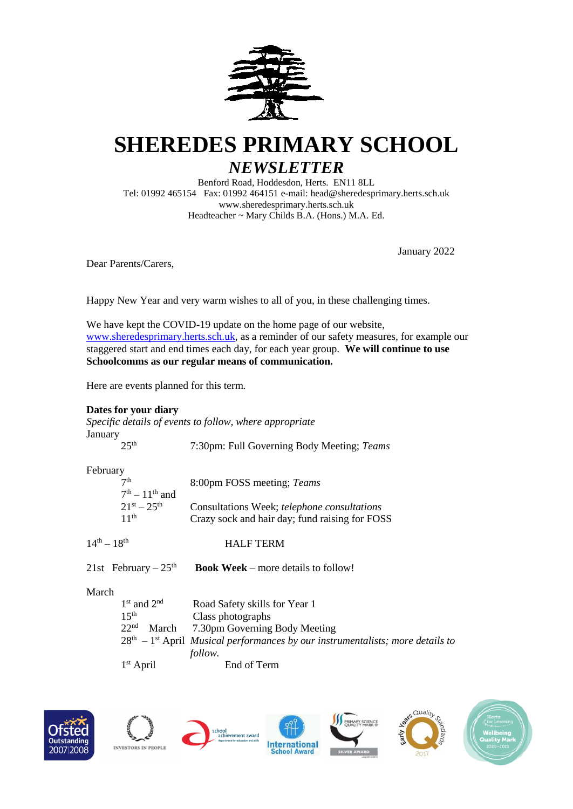

# **SHEREDES PRIMARY SCHOOL**

# *NEWSLETTER*

Benford Road, Hoddesdon, Herts. EN11 8LL Tel: 01992 465154 Fax: 01992 464151 e-mail: head@sheredesprimary.herts.sch.uk www.sheredesprimary.herts.sch.uk Headteacher ~ Mary Childs B.A. (Hons.) M.A. Ed.

January 2022

Dear Parents/Carers,

Happy New Year and very warm wishes to all of you, in these challenging times.

We have kept the COVID-19 update on the home page of our website, [www.sheredesprimary.herts.sch.uk,](http://www.sheredesprimary.herts.sch.uk/) as a reminder of our safety measures, for example our staggered start and end times each day, for each year group. **We will continue to use Schoolcomms as our regular means of communication.**

Here are events planned for this term.

# **Dates for your diary**

*Specific details of events to follow, where appropriate* January

### February

| 7 <sup>th</sup>     | 8:00pm FOSS meeting; Teams                     |
|---------------------|------------------------------------------------|
| $7th - 11th$ and    |                                                |
| $21^{st} - 25^{th}$ | Consultations Week; telephone consultations    |
| 11 <sup>th</sup>    | Crazy sock and hair day; fund raising for FOSS |

HALF TERM

 $14^{th} - 18$ 

21st February  $-25<sup>th</sup>$ **Book Week** – more details to follow!

March

| $1st$ and $2nd$                                                                         | Road Safety skills for Year 1       |  |
|-----------------------------------------------------------------------------------------|-------------------------------------|--|
| 15 <sup>th</sup>                                                                        | Class photographs                   |  |
| 22 <sup>nd</sup>                                                                        | March 7.30pm Governing Body Meeting |  |
| $28th - 1st$ April <i>Musical performances by our instrumentalists; more details to</i> |                                     |  |
|                                                                                         | <i>follow.</i>                      |  |
| $1st$ April                                                                             | End of Term                         |  |











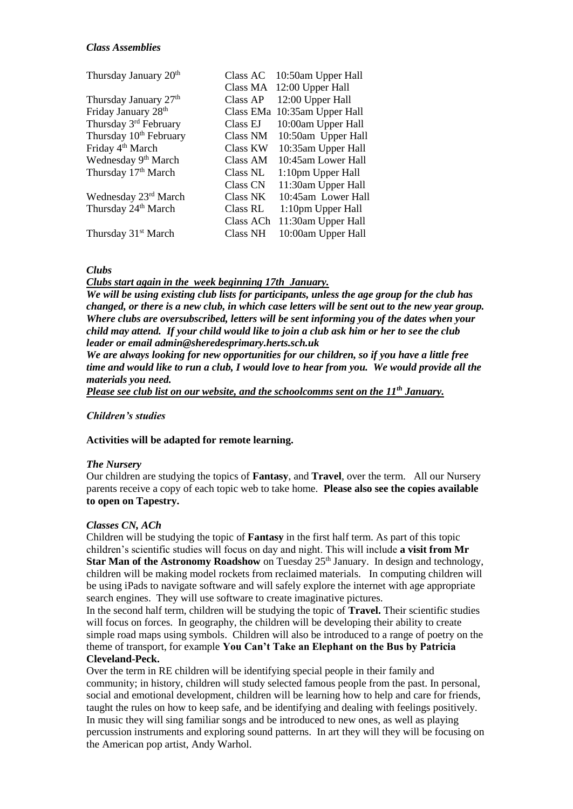| Class AC        | 10:50am Upper Hall |
|-----------------|--------------------|
| Class MA        | 12:00 Upper Hall   |
| Class AP        | 12:00 Upper Hall   |
| Class EMa       | 10:35am Upper Hall |
| Class EJ        | 10:00am Upper Hall |
| Class NM        | 10:50am Upper Hall |
| Class KW        | 10:35am Upper Hall |
| Class AM        | 10:45am Lower Hall |
| Class NL        | 1:10pm Upper Hall  |
| <b>Class CN</b> | 11:30am Upper Hall |
| <b>Class NK</b> | 10:45am Lower Hall |
| Class RL        | 1:10pm Upper Hall  |
| Class ACh       | 11:30am Upper Hall |
| Class NH        | 10:00am Upper Hall |
|                 |                    |

# *Clubs*

*Clubs start again in the week beginning 17th January.*

*We will be using existing club lists for participants, unless the age group for the club has changed, or there is a new club, in which case letters will be sent out to the new year group. Where clubs are oversubscribed, letters will be sent informing you of the dates when your child may attend. If your child would like to join a club ask him or her to see the club leader or email admin@sheredesprimary.herts.sch.uk*

*We are always looking for new opportunities for our children, so if you have a little free time and would like to run a club, I would love to hear from you. We would provide all the materials you need.*

*Please see club list on our website, and the schoolcomms sent on the 11th January.*

# *Children's studies*

#### **Activities will be adapted for remote learning.**

#### *The Nursery*

Our children are studying the topics of **Fantasy**, and **Travel**, over the term. All our Nursery parents receive a copy of each topic web to take home. **Please also see the copies available to open on Tapestry.**

#### *Classes CN, ACh*

Children will be studying the topic of **Fantasy** in the first half term. As part of this topic children's scientific studies will focus on day and night. This will include **a visit from Mr**  Star Man of the Astronomy Roadshow on Tuesday 25<sup>th</sup> January. In design and technology, children will be making model rockets from reclaimed materials. In computing children will be using iPads to navigate software and will safely explore the internet with age appropriate search engines. They will use software to create imaginative pictures.

In the second half term, children will be studying the topic of **Travel.** Their scientific studies will focus on forces. In geography, the children will be developing their ability to create simple road maps using symbols. Children will also be introduced to a range of poetry on the theme of transport, for example **You Can't Take an Elephant on the Bus by Patricia Cleveland-Peck.** 

Over the term in RE children will be identifying special people in their family and community; in history, children will study selected famous people from the past. In personal, social and emotional development, children will be learning how to help and care for friends, taught the rules on how to keep safe, and be identifying and dealing with feelings positively. In music they will sing familiar songs and be introduced to new ones, as well as playing percussion instruments and exploring sound patterns. In art they will they will be focusing on the American pop artist, Andy Warhol.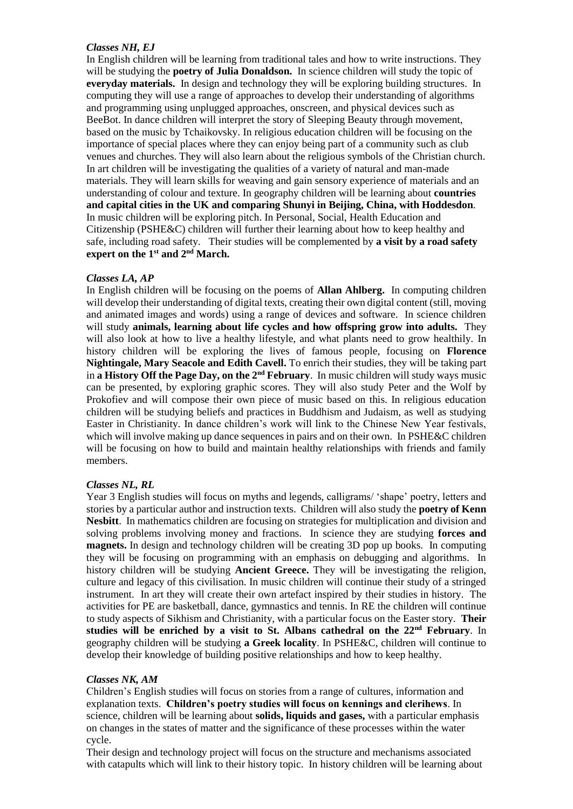## *Classes NH, EJ*

In English children will be learning from traditional tales and how to write instructions. They will be studying the **poetry of Julia Donaldson.** In science children will study the topic of **everyday materials.** In design and technology they will be exploring building structures. In computing they will use a range of approaches to develop their understanding of algorithms and programming using unplugged approaches, onscreen, and physical devices such as BeeBot. In dance children will interpret the story of Sleeping Beauty through movement, based on the music by Tchaikovsky. In religious education children will be focusing on the importance of special places where they can enjoy being part of a community such as club venues and churches. They will also learn about the religious symbols of the Christian church. In art children will be investigating the qualities of a variety of natural and man-made materials. They will learn skills for weaving and gain sensory experience of materials and an understanding of colour and texture. In geography children will be learning about **countries and capital cities in the UK and comparing Shunyi in Beijing, China, with Hoddesdon**. In music children will be exploring pitch. In Personal, Social, Health Education and Citizenship (PSHE&C) children will further their learning about how to keep healthy and safe, including road safety. Their studies will be complemented by **a visit by a road safety expert on the 1st and 2nd March.**

#### *Classes LA, AP*

In English children will be focusing on the poems of **Allan Ahlberg.** In computing children will develop their understanding of digital texts, creating their own digital content (still, moving and animated images and words) using a range of devices and software. In science children will study **animals, learning about life cycles and how offspring grow into adults.** They will also look at how to live a healthy lifestyle, and what plants need to grow healthily. In history children will be exploring the lives of famous people, focusing on **Florence Nightingale, Mary Seacole and Edith Cavell.** To enrich their studies, they will be taking part in **a History Off the Page Day, on the 2nd February**. In music children will study ways music can be presented, by exploring graphic scores. They will also study Peter and the Wolf by Prokofiev and will compose their own piece of music based on this. In religious education children will be studying beliefs and practices in Buddhism and Judaism, as well as studying Easter in Christianity. In dance children's work will link to the Chinese New Year festivals, which will involve making up dance sequences in pairs and on their own. In PSHE&C children will be focusing on how to build and maintain healthy relationships with friends and family members.

#### *Classes NL, RL*

Year 3 English studies will focus on myths and legends, calligrams/ 'shape' poetry, letters and stories by a particular author and instruction texts. Children will also study the **poetry of Kenn Nesbitt**. In mathematics children are focusing on strategies for multiplication and division and solving problems involving money and fractions. In science they are studying **forces and magnets.** In design and technology children will be creating 3D pop up books. In computing they will be focusing on programming with an emphasis on debugging and algorithms. In history children will be studying **Ancient Greece.** They will be investigating the religion, culture and legacy of this civilisation. In music children will continue their study of a stringed instrument. In art they will create their own artefact inspired by their studies in history. The activities for PE are basketball, dance, gymnastics and tennis. In RE the children will continue to study aspects of Sikhism and Christianity, with a particular focus on the Easter story. **Their studies will be enriched by a visit to St. Albans cathedral on the 22nd February**. In geography children will be studying **a Greek locality**. In PSHE&C, children will continue to develop their knowledge of building positive relationships and how to keep healthy.

#### *Classes NK, AM*

Children's English studies will focus on stories from a range of cultures, information and explanation texts. **Children's poetry studies will focus on kennings and clerihews**. In science, children will be learning about **solids, liquids and gases,** with a particular emphasis on changes in the states of matter and the significance of these processes within the water cycle.

Their design and technology project will focus on the structure and mechanisms associated with catapults which will link to their history topic. In history children will be learning about